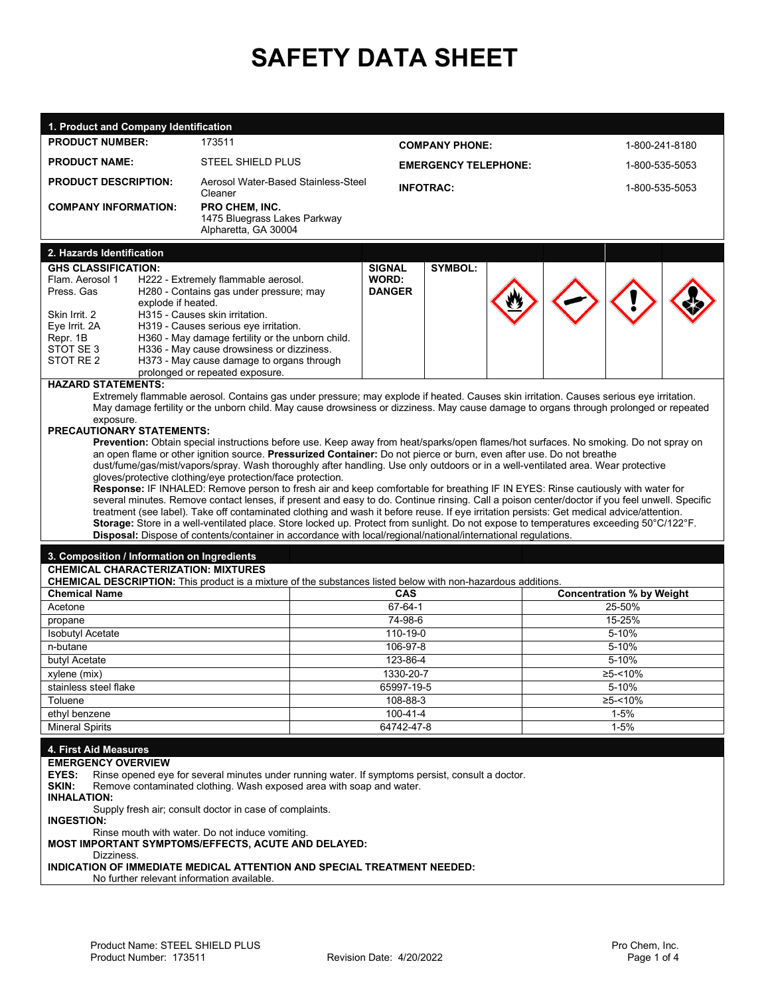# **SAFETY DATA SHEET**

| 1. Product and Company Identification                                                                     |                    |                                                                                                                                                                                                                                                                                  |                               |                  |         |                                  |                |  |  |
|-----------------------------------------------------------------------------------------------------------|--------------------|----------------------------------------------------------------------------------------------------------------------------------------------------------------------------------------------------------------------------------------------------------------------------------|-------------------------------|------------------|---------|----------------------------------|----------------|--|--|
| <b>PRODUCT NUMBER:</b>                                                                                    |                    | 173511                                                                                                                                                                                                                                                                           | <b>COMPANY PHONE:</b>         |                  |         |                                  | 1-800-241-8180 |  |  |
| <b>PRODUCT NAME:</b>                                                                                      |                    | <b>STEEL SHIELD PLUS</b>                                                                                                                                                                                                                                                         | <b>EMERGENCY TELEPHONE:</b>   |                  |         | 1-800-535-5053                   |                |  |  |
| <b>PRODUCT DESCRIPTION:</b>                                                                               |                    | Aerosol Water-Based Stainless-Steel<br>Cleaner                                                                                                                                                                                                                                   |                               | <b>INFOTRAC:</b> |         |                                  | 1-800-535-5053 |  |  |
| <b>COMPANY INFORMATION:</b>                                                                               |                    | <b>PRO CHEM, INC.</b><br>1475 Bluegrass Lakes Parkway<br>Alpharetta, GA 30004                                                                                                                                                                                                    |                               |                  |         |                                  |                |  |  |
| 2. Hazards Identification                                                                                 |                    |                                                                                                                                                                                                                                                                                  |                               |                  |         |                                  |                |  |  |
| <b>GHS CLASSIFICATION:</b>                                                                                |                    |                                                                                                                                                                                                                                                                                  | <b>SIGNAL</b>                 | <b>SYMBOL:</b>   |         |                                  |                |  |  |
| Flam. Aerosol 1<br>Press, Gas                                                                             | explode if heated. | H222 - Extremely flammable aerosol.<br>H280 - Contains gas under pressure; may                                                                                                                                                                                                   | <b>WORD:</b><br><b>DANGER</b> |                  |         |                                  |                |  |  |
| Skin Irrit, 2                                                                                             |                    | H315 - Causes skin irritation.                                                                                                                                                                                                                                                   |                               |                  |         |                                  |                |  |  |
| Eye Irrit. 2A                                                                                             |                    | H319 - Causes serious eye irritation.                                                                                                                                                                                                                                            |                               |                  |         |                                  |                |  |  |
| Repr. 1B<br>STOT SE 3                                                                                     |                    | H360 - May damage fertility or the unborn child.<br>H336 - May cause drowsiness or dizziness.                                                                                                                                                                                    |                               |                  |         |                                  |                |  |  |
| STOT RE 2                                                                                                 |                    | H373 - May cause damage to organs through                                                                                                                                                                                                                                        |                               |                  |         |                                  |                |  |  |
|                                                                                                           |                    | prolonged or repeated exposure.                                                                                                                                                                                                                                                  |                               |                  |         |                                  |                |  |  |
| <b>HAZARD STATEMENTS:</b>                                                                                 |                    |                                                                                                                                                                                                                                                                                  |                               |                  |         |                                  |                |  |  |
| exposure.                                                                                                 |                    | Extremely flammable aerosol. Contains gas under pressure; may explode if heated. Causes skin irritation. Causes serious eye irritation.<br>May damage fertility or the unborn child. May cause drowsiness or dizziness. May cause damage to organs through prolonged or repeated |                               |                  |         |                                  |                |  |  |
| <b>PRECAUTIONARY STATEMENTS:</b>                                                                          |                    |                                                                                                                                                                                                                                                                                  |                               |                  |         |                                  |                |  |  |
|                                                                                                           |                    | Prevention: Obtain special instructions before use. Keep away from heat/sparks/open flames/hot surfaces. No smoking. Do not spray on                                                                                                                                             |                               |                  |         |                                  |                |  |  |
|                                                                                                           |                    | an open flame or other ignition source. Pressurized Container: Do not pierce or burn, even after use. Do not breathe<br>dust/fume/gas/mist/vapors/spray. Wash thoroughly after handling. Use only outdoors or in a well-ventilated area. Wear protective                         |                               |                  |         |                                  |                |  |  |
|                                                                                                           |                    | gloves/protective clothing/eye protection/face protection.                                                                                                                                                                                                                       |                               |                  |         |                                  |                |  |  |
|                                                                                                           |                    | Response: IF INHALED: Remove person to fresh air and keep comfortable for breathing IF IN EYES: Rinse cautiously with water for                                                                                                                                                  |                               |                  |         |                                  |                |  |  |
|                                                                                                           |                    | several minutes. Remove contact lenses, if present and easy to do. Continue rinsing. Call a poison center/doctor if you feel unwell. Specific                                                                                                                                    |                               |                  |         |                                  |                |  |  |
|                                                                                                           |                    | treatment (see label). Take off contaminated clothing and wash it before reuse. If eye irritation persists: Get medical advice/attention.                                                                                                                                        |                               |                  |         |                                  |                |  |  |
|                                                                                                           |                    | Storage: Store in a well-ventilated place. Store locked up. Protect from sunlight. Do not expose to temperatures exceeding 50°C/122°F.                                                                                                                                           |                               |                  |         |                                  |                |  |  |
|                                                                                                           |                    | Disposal: Dispose of contents/container in accordance with local/regional/national/international regulations.                                                                                                                                                                    |                               |                  |         |                                  |                |  |  |
| 3. Composition / Information on Ingredients                                                               |                    |                                                                                                                                                                                                                                                                                  |                               |                  |         |                                  |                |  |  |
| <b>CHEMICAL CHARACTERIZATION: MIXTURES</b>                                                                |                    |                                                                                                                                                                                                                                                                                  |                               |                  |         |                                  |                |  |  |
|                                                                                                           |                    | <b>CHEMICAL DESCRIPTION:</b> This product is a mixture of the substances listed below with non-hazardous additions.                                                                                                                                                              | <b>CAS</b>                    |                  |         |                                  |                |  |  |
| <b>Chemical Name</b>                                                                                      |                    |                                                                                                                                                                                                                                                                                  |                               |                  |         | <b>Concentration % by Weight</b> |                |  |  |
| Acetone                                                                                                   |                    |                                                                                                                                                                                                                                                                                  | 67-64-1                       |                  |         | 25-50%                           |                |  |  |
| propane                                                                                                   |                    |                                                                                                                                                                                                                                                                                  | 74-98-6                       |                  |         |                                  | 15-25%         |  |  |
| <b>Isobutyl Acetate</b>                                                                                   |                    |                                                                                                                                                                                                                                                                                  | 110-19-0                      |                  | 5-10%   |                                  |                |  |  |
|                                                                                                           | n-butane           |                                                                                                                                                                                                                                                                                  | 106-97-8                      |                  |         | 5-10%                            |                |  |  |
|                                                                                                           | butyl Acetate      |                                                                                                                                                                                                                                                                                  | 123-86-4<br>1330-20-7         |                  |         | 5-10%                            |                |  |  |
| xylene (mix)                                                                                              |                    |                                                                                                                                                                                                                                                                                  |                               |                  | ≥5-<10% |                                  |                |  |  |
| stainless steel flake                                                                                     |                    | 65997-19-5<br>5-10%<br>108-88-3<br>≥5-<10%                                                                                                                                                                                                                                       |                               |                  |         |                                  |                |  |  |
| Toluene                                                                                                   |                    | 100-41-4                                                                                                                                                                                                                                                                         |                               | $1 - 5%$         |         |                                  |                |  |  |
| ethyl benzene<br><b>Mineral Spirits</b>                                                                   |                    |                                                                                                                                                                                                                                                                                  | 64742-47-8                    |                  |         | $1 - 5%$                         |                |  |  |
|                                                                                                           |                    |                                                                                                                                                                                                                                                                                  |                               |                  |         |                                  |                |  |  |
| 4. First Aid Measures                                                                                     |                    |                                                                                                                                                                                                                                                                                  |                               |                  |         |                                  |                |  |  |
| <b>EMERGENCY OVERVIEW</b>                                                                                 |                    |                                                                                                                                                                                                                                                                                  |                               |                  |         |                                  |                |  |  |
| EYES:<br>Rinse opened eye for several minutes under running water. If symptoms persist, consult a doctor. |                    |                                                                                                                                                                                                                                                                                  |                               |                  |         |                                  |                |  |  |
| SKIN:<br>Remove contaminated clothing. Wash exposed area with soap and water.<br><b>INHALATION:</b>       |                    |                                                                                                                                                                                                                                                                                  |                               |                  |         |                                  |                |  |  |
| Supply fresh air; consult doctor in case of complaints.                                                   |                    |                                                                                                                                                                                                                                                                                  |                               |                  |         |                                  |                |  |  |
| <b>INGESTION:</b>                                                                                         |                    |                                                                                                                                                                                                                                                                                  |                               |                  |         |                                  |                |  |  |
| Rinse mouth with water. Do not induce vomiting.<br>MOST IMPORTANT SYMPTOMS/EFFECTS, ACUTE AND DELAYED:    |                    |                                                                                                                                                                                                                                                                                  |                               |                  |         |                                  |                |  |  |
| Dizziness.                                                                                                |                    |                                                                                                                                                                                                                                                                                  |                               |                  |         |                                  |                |  |  |
|                                                                                                           |                    | INDICATION OF IMMEDIATE MEDICAL ATTENTION AND SPECIAL TREATMENT NEEDED:<br>No further relevant information available.                                                                                                                                                            |                               |                  |         |                                  |                |  |  |
|                                                                                                           |                    |                                                                                                                                                                                                                                                                                  |                               |                  |         |                                  |                |  |  |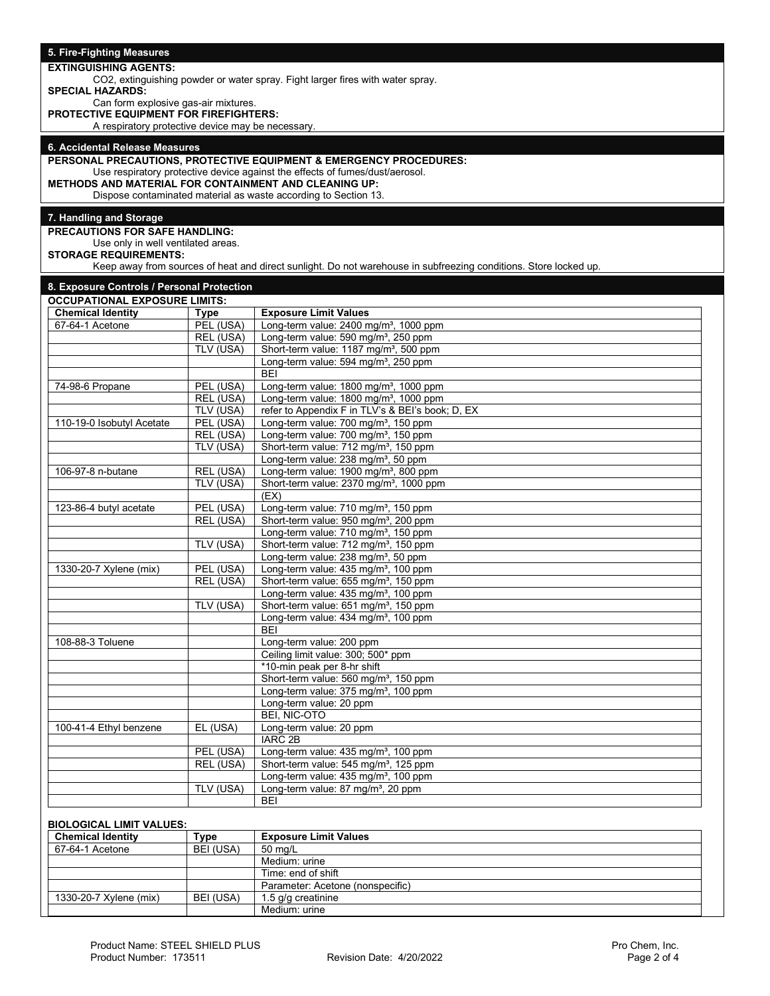| 5. Fire-Fighting Measures                                                             |                        |                                                                                                                  |
|---------------------------------------------------------------------------------------|------------------------|------------------------------------------------------------------------------------------------------------------|
| <b>EXTINGUISHING AGENTS:</b>                                                          |                        |                                                                                                                  |
|                                                                                       |                        | CO2, extinguishing powder or water spray. Fight larger fires with water spray.                                   |
| <b>SPECIAL HAZARDS:</b>                                                               |                        |                                                                                                                  |
| Can form explosive gas-air mixtures.<br><b>PROTECTIVE EQUIPMENT FOR FIREFIGHTERS:</b> |                        |                                                                                                                  |
| A respiratory protective device may be necessary.                                     |                        |                                                                                                                  |
|                                                                                       |                        |                                                                                                                  |
| 6. Accidental Release Measures                                                        |                        |                                                                                                                  |
|                                                                                       |                        | PERSONAL PRECAUTIONS, PROTECTIVE EQUIPMENT & EMERGENCY PROCEDURES:                                               |
|                                                                                       |                        | Use respiratory protective device against the effects of fumes/dust/aerosol.                                     |
| <b>METHODS AND MATERIAL FOR CONTAINMENT AND CLEANING UP:</b>                          |                        |                                                                                                                  |
|                                                                                       |                        | Dispose contaminated material as waste according to Section 13.                                                  |
| 7. Handling and Storage                                                               |                        |                                                                                                                  |
| <b>PRECAUTIONS FOR SAFE HANDLING:</b>                                                 |                        |                                                                                                                  |
| Use only in well ventilated areas.                                                    |                        |                                                                                                                  |
| <b>STORAGE REQUIREMENTS:</b>                                                          |                        |                                                                                                                  |
|                                                                                       |                        | Keep away from sources of heat and direct sunlight. Do not warehouse in subfreezing conditions. Store locked up. |
|                                                                                       |                        |                                                                                                                  |
| 8. Exposure Controls / Personal Protection<br><b>OCCUPATIONAL EXPOSURE LIMITS:</b>    |                        |                                                                                                                  |
| <b>Chemical Identity</b>                                                              | <b>Type</b>            | <b>Exposure Limit Values</b>                                                                                     |
| 67-64-1 Acetone                                                                       | PEL (USA)              | Long-term value: 2400 mg/m <sup>3</sup> , 1000 ppm                                                               |
|                                                                                       | REL (USA)              | Long-term value: 590 mg/m <sup>3</sup> , 250 ppm                                                                 |
|                                                                                       | TLV (USA)              | Short-term value: 1187 mg/m <sup>3</sup> , 500 ppm                                                               |
|                                                                                       |                        | Long-term value: 594 mg/m <sup>3</sup> , 250 ppm                                                                 |
|                                                                                       |                        | <b>BEI</b>                                                                                                       |
| 74-98-6 Propane                                                                       | PEL (USA)              | Long-term value: 1800 mg/m <sup>3</sup> , 1000 ppm                                                               |
|                                                                                       | REL (USA)              | Long-term value: 1800 mg/m <sup>3</sup> , 1000 ppm                                                               |
|                                                                                       | TLV (USA)              | refer to Appendix F in TLV's & BEI's book; D, EX                                                                 |
| 110-19-0 Isobutyl Acetate                                                             | PEL (USA)              | Long-term value: 700 mg/m <sup>3</sup> , 150 ppm                                                                 |
|                                                                                       | REL (USA)              | Long-term value: 700 mg/m <sup>3</sup> , 150 ppm                                                                 |
|                                                                                       | TLV (USA)              | Short-term value: 712 mg/m <sup>3</sup> , 150 ppm                                                                |
|                                                                                       |                        | Long-term value: 238 mg/m <sup>3</sup> , 50 ppm                                                                  |
| 106-97-8 n-butane                                                                     | REL (USA)              | Long-term value: 1900 mg/m <sup>3</sup> , 800 ppm                                                                |
|                                                                                       | TLV (USA)              | Short-term value: 2370 mg/m <sup>3</sup> , 1000 ppm<br>(EX)                                                      |
| 123-86-4 butyl acetate                                                                | PEL (USA)              | Long-term value: 710 mg/m <sup>3</sup> , 150 ppm                                                                 |
|                                                                                       | REL (USA)              | Short-term value: 950 mg/m <sup>3</sup> , 200 ppm                                                                |
|                                                                                       |                        | Long-term value: 710 mg/m <sup>3</sup> , 150 ppm                                                                 |
|                                                                                       | TLV (USA)              | Short-term value: 712 mg/m <sup>3</sup> , 150 ppm                                                                |
|                                                                                       |                        | Long-term value: 238 mg/m <sup>3</sup> , 50 ppm                                                                  |
| 1330-20-7 Xylene (mix)                                                                | PEL (USA)              | Long-term value: 435 mg/m <sup>3</sup> , 100 ppm                                                                 |
|                                                                                       | REL (USA)              | Short-term value: 655 mg/m <sup>3</sup> , 150 ppm                                                                |
|                                                                                       |                        | Long-term value: 435 mg/m <sup>3</sup> , 100 ppm                                                                 |
|                                                                                       | TLV (USA)              | Short-term value: 651 mg/m <sup>3</sup> , 150 ppm                                                                |
|                                                                                       |                        | Long-term value: 434 mg/m <sup>3</sup> , 100 ppm                                                                 |
|                                                                                       |                        | <b>BEI</b>                                                                                                       |
| 108-88-3 Toluene                                                                      |                        | Long-term value: 200 ppm                                                                                         |
|                                                                                       |                        | Ceiling limit value: 300; 500* ppm                                                                               |
|                                                                                       |                        | *10-min peak per 8-hr shift                                                                                      |
|                                                                                       |                        | Short-term value: 560 mg/m <sup>3</sup> , 150 ppm<br>Long-term value: 375 mg/m <sup>3</sup> , 100 ppm            |
|                                                                                       |                        | Long-term value: 20 ppm                                                                                          |
|                                                                                       |                        | <b>BEI, NIC-OTO</b>                                                                                              |
| 100-41-4 Ethyl benzene                                                                | EL (USA)               | Long-term value: 20 ppm                                                                                          |
|                                                                                       |                        | IARC <sub>2B</sub>                                                                                               |
|                                                                                       | $\overline{PEL}$ (USA) | Long-term value: 435 mg/m <sup>3</sup> , 100 ppm                                                                 |
|                                                                                       | REL (USA)              | Short-term value: 545 mg/m <sup>3</sup> , 125 ppm                                                                |
|                                                                                       |                        | Long-term value: 435 mg/m <sup>3</sup> , 100 ppm                                                                 |
|                                                                                       | TLV (USA)              | Long-term value: 87 mg/m <sup>3</sup> , 20 ppm                                                                   |
|                                                                                       |                        | <b>BEI</b>                                                                                                       |
|                                                                                       |                        |                                                                                                                  |

## **BIOLOGICAL LIMIT VALUES:**

| <b>Chemical Identity</b> | туре      | <b>Exposure Limit Values</b>     |
|--------------------------|-----------|----------------------------------|
| 67-64-1 Acetone          | BEI (USA) | 50 ma/L                          |
|                          |           | Medium: urine                    |
|                          |           | Time: end of shift               |
|                          |           | Parameter: Acetone (nonspecific) |
| 1330-20-7 Xylene (mix)   | BEI (USA) | 1.5 g/g creatinine               |
|                          |           | Medium: urine                    |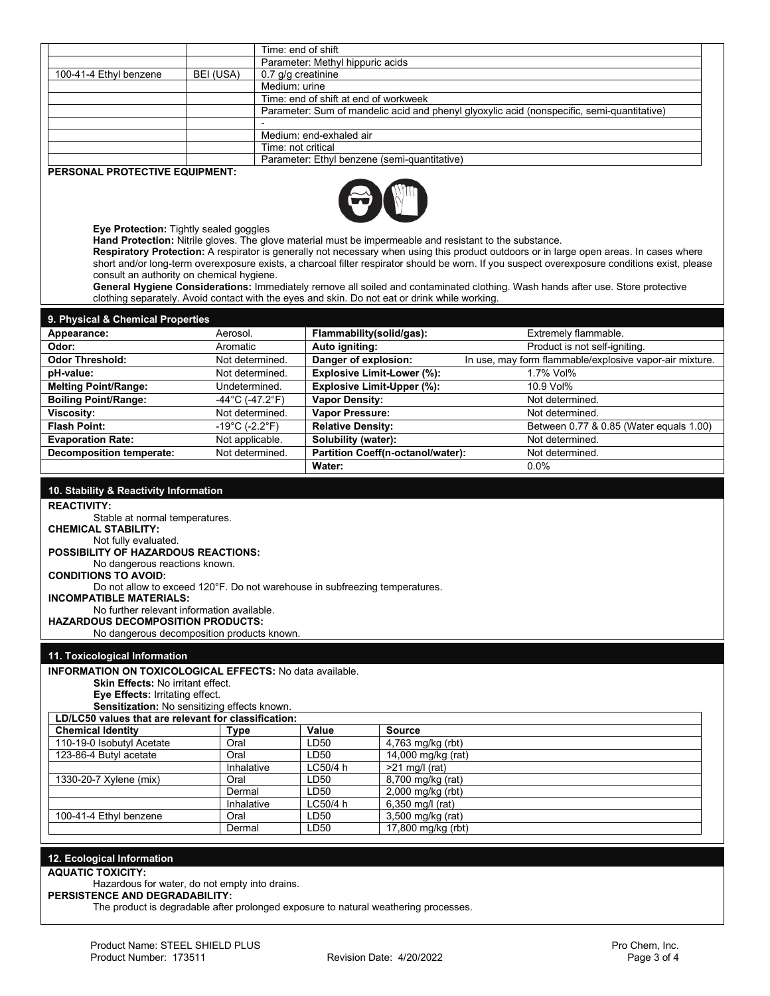|                                       |           | Time: end of shift                                                                         |
|---------------------------------------|-----------|--------------------------------------------------------------------------------------------|
|                                       |           | Parameter: Methyl hippuric acids                                                           |
| 100-41-4 Ethyl benzene                | BEI (USA) | 0.7 g/g creatinine                                                                         |
|                                       |           | Medium: urine                                                                              |
|                                       |           | Time: end of shift at end of workweek                                                      |
|                                       |           | Parameter: Sum of mandelic acid and phenyl glyoxylic acid (nonspecific, semi-quantitative) |
|                                       |           |                                                                                            |
|                                       |           | Medium: end-exhaled air                                                                    |
|                                       |           | Time: not critical                                                                         |
|                                       |           | Parameter: Ethyl benzene (semi-quantitative)                                               |
| <b>PERSONAL PROTECTIVE EQUIPMENT:</b> |           |                                                                                            |
|                                       |           |                                                                                            |



**Eye Protection:** Tightly sealed goggles

**Hand Protection:** Nitrile gloves. The glove material must be impermeable and resistant to the substance. **Respiratory Protection:** A respirator is generally not necessary when using this product outdoors or in large open areas. In cases where

short and/or long-term overexposure exists, a charcoal filter respirator should be worn. If you suspect overexposure conditions exist, please consult an authority on chemical hygiene.

**General Hygiene Considerations:** Immediately remove all soiled and contaminated clothing. Wash hands after use. Store protective clothing separately. Avoid contact with the eyes and skin. Do not eat or drink while working.

| 9. Physical & Chemical Properties |                                      |                                   |                                                         |
|-----------------------------------|--------------------------------------|-----------------------------------|---------------------------------------------------------|
| Appearance:                       | Aerosol.                             | Flammability(solid/gas):          | Extremely flammable.                                    |
| Odor:                             | Aromatic                             | Auto igniting:                    | Product is not self-igniting.                           |
| <b>Odor Threshold:</b>            | Not determined.                      | Danger of explosion:              | In use, may form flammable/explosive vapor-air mixture. |
| pH-value:                         | Not determined.                      | Explosive Limit-Lower (%):        | 1.7% Vol%                                               |
| <b>Melting Point/Range:</b>       | Undetermined.                        | <b>Explosive Limit-Upper (%):</b> | 10.9 Vol%                                               |
| <b>Boiling Point/Range:</b>       | $-44^{\circ}$ C (-47.2 $^{\circ}$ F) | <b>Vapor Density:</b>             | Not determined.                                         |
| Viscosity:                        | Not determined.                      | <b>Vapor Pressure:</b>            | Not determined.                                         |
| <b>Flash Point:</b>               | $-19^{\circ}$ C (-2.2 $^{\circ}$ F)  | <b>Relative Density:</b>          | Between 0.77 & 0.85 (Water equals 1.00)                 |
| <b>Evaporation Rate:</b>          | Not applicable.                      | Solubility (water):               | Not determined.                                         |
| <b>Decomposition temperate:</b>   | Not determined.                      | Partition Coeff(n-octanol/water): | Not determined.                                         |
|                                   |                                      | Water:                            | $0.0\%$                                                 |

#### **10. Stability & Reactivity Information REACTIVITY:** Stable at normal temperatures. **CHEMICAL STABILITY:**  Not fully evaluated. **POSSIBILITY OF HAZARDOUS REACTIONS:** No dangerous reactions known. **CONDITIONS TO AVOID:**  Do not allow to exceed 120°F. Do not warehouse in subfreezing temperatures. **INCOMPATIBLE MATERIALS:** No further relevant information available. **HAZARDOUS DECOMPOSITION PRODUCTS:** No dangerous decomposition products known. **11. Toxicological Information INFORMATION ON TOXICOLOGICAL EFFECTS:** No data available. **Skin Effects:** No irritant effect. **Eye Effects:** Irritating effect. **Sensitization:** No sensitizing effects known. **LD/LC50 values that are relevant for classification: Chemical Identity Type Value Source**  110-19-0 Isobutyl Acetate Oral LD50 4,763 mg/kg (rbt) 123-86-4 Butyl acetate Oral LD50<br>
Inhalative LC50/4 h  $>21$  mg/l (rat) 1330-20-7 Xylene (mix) <br> **Dermal** LD50 8,700 mg/kg (rat)<br>
LD50 2,000 mg/kg (rbt) LD50 2,000 mg/kg (rbt)<br>LC50/4 h 6,350 mg/l (rat) Inhalative  $LC50/4 h$  6,350 mg/l (rat) 100-41-4 Ethyl benzene Oral LD50 3,500 mg/kg (rat) Dermal LD50 17,800 mg/kg (rbt)

# **12. Ecological Information**

**AQUATIC TOXICITY:**

Hazardous for water, do not empty into drains.

**PERSISTENCE AND DEGRADABILITY:** 

The product is degradable after prolonged exposure to natural weathering processes.